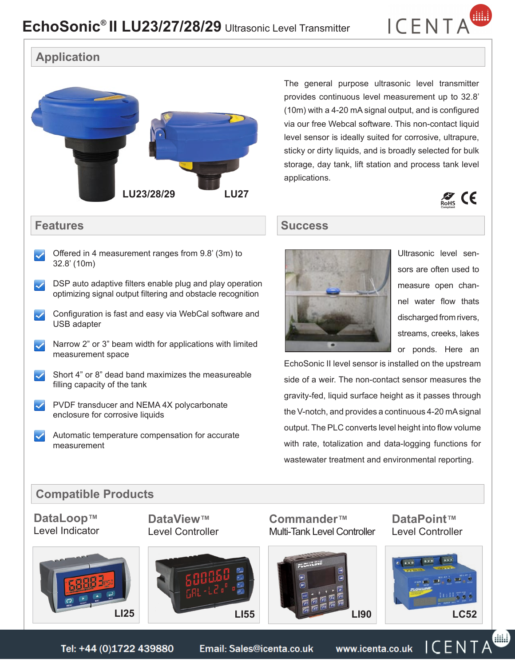

# **Application**



The general purpose ultrasonic level transmitter provides continuous level measurement up to 32.8' (10m) with a 4-20 mA signal output, and is configured via our free Webcal software. This non-contact liquid level sensor is ideally suited for corrosive, ultrapure, sticky or dirty liquids, and is broadly selected for bulk storage, day tank, lift station and process tank level applications.

 $\mathcal{Z}$  CE



Ultrasonic level sensors are often used to measure open channel water flow thats discharged from rivers, streams, creeks, lakes or ponds. Here an

EchoSonic II level sensor is installed on the upstream side of a weir. The non-contact sensor measures the gravity-fed, liquid surface height as it passes through the V-notch, and provides a continuous 4-20 mAsignal output. The PLC converts level height into flow volume with rate, totalization and data-logging functions for wastewater treatment and environmental reporting.

### **Compatible Products**

**DataLoop™** Level Indicator **DataView™** Level Controller



### **Commander™** Multi-Tank Level Controller



**DataPoint™** Level Controller



Tel: +44 (0)1722 439880 Email: Sales@icenta.co.uk www.icenta.co.uk  $\mathbin{\rule{0pt}{0.5pt}}\bigcup\limits^{\infty} E\bigcap\mathbin{\rule{0pt}{0.5pt}}\bigcap A$